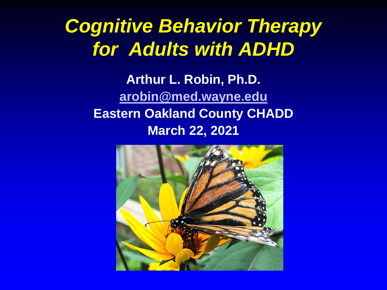#### *Cognitive Behavior Therapy for Adults with ADHD*

**Arthur L. Robin, Ph.D. [arobin@med.wayne.edu](mailto:arobin@med.wayne.edu) Eastern Oakland County CHADD March 22, 2021**

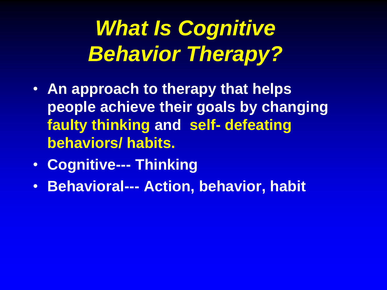# *What Is Cognitive Behavior Therapy?*

- **An approach to therapy that helps people achieve their goals by changing faulty thinking and self- defeating behaviors/ habits.**
- **Cognitive--- Thinking**
- **Behavioral--- Action, behavior, habit**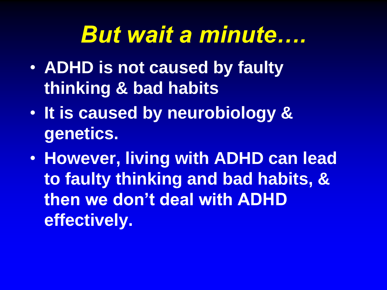# *But wait a minute….*

- **ADHD is not caused by faulty thinking & bad habits**
- **It is caused by neurobiology & genetics.**
- **However, living with ADHD can lead to faulty thinking and bad habits, & then we don't deal with ADHD effectively.**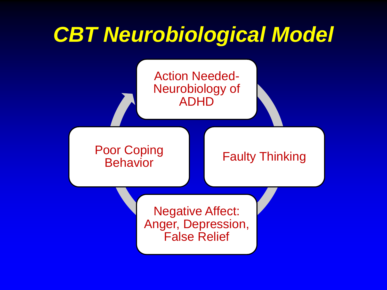# *CBT Neurobiological Model* Action Needed-

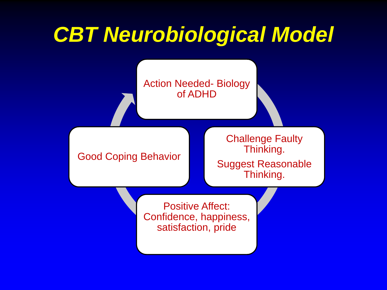# *CBT Neurobiological Model*

Action Needed- Biology of ADHD

Good Coping Behavior

Challenge Faulty Thinking. Suggest Reasonable

Thinking.

Positive Affect: Confidence, happiness,

satisfaction, pride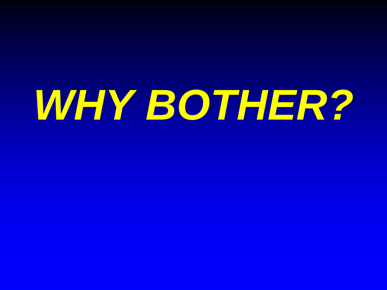# *WHY BOTHER?*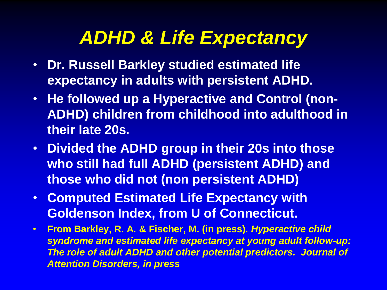#### *ADHD & Life Expectancy*

- **Dr. Russell Barkley studied estimated life expectancy in adults with persistent ADHD.**
- **He followed up a Hyperactive and Control (non-ADHD) children from childhood into adulthood in their late 20s.**
- **Divided the ADHD group in their 20s into those who still had full ADHD (persistent ADHD) and those who did not (non persistent ADHD)**
- **Computed Estimated Life Expectancy with Goldenson Index, from U of Connecticut.**
- **From Barkley, R. A. & Fischer, M. (in press).** *Hyperactive child syndrome and estimated life expectancy at young adult follow-up: The role of adult ADHD and other potential predictors. Journal of Attention Disorders, in press*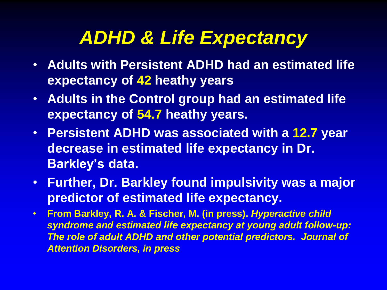#### *ADHD & Life Expectancy*

- **Adults with Persistent ADHD had an estimated life expectancy of 42 heathy years**
- **Adults in the Control group had an estimated life expectancy of 54.7 heathy years.**
- **Persistent ADHD was associated with a 12.7 year decrease in estimated life expectancy in Dr. Barkley's data.**
- **Further, Dr. Barkley found impulsivity was a major predictor of estimated life expectancy.**
- **From Barkley, R. A. & Fischer, M. (in press).** *Hyperactive child syndrome and estimated life expectancy at young adult follow-up: The role of adult ADHD and other potential predictors. Journal of Attention Disorders, in press*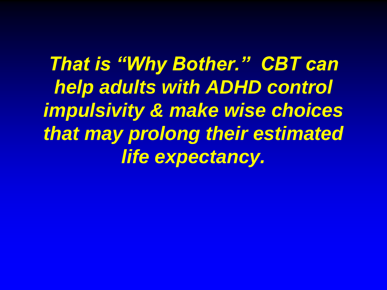*That is "Why Bother." CBT can help adults with ADHD control impulsivity & make wise choices that may prolong their estimated life expectancy.*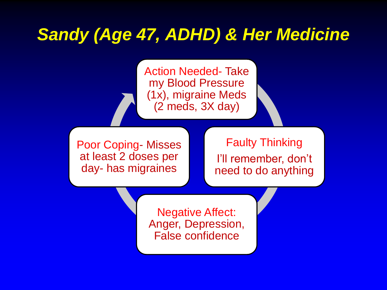#### *Sandy (Age 47, ADHD) & Her Medicine*

Action Needed- Take my Blood Pressure (1x), migraine Meds (2 meds, 3X day)

Poor Coping- Misses at least 2 doses per day- has migraines

#### Faulty Thinking

I'll remember, don't need to do anything

Negative Affect: Anger, Depression, False confidence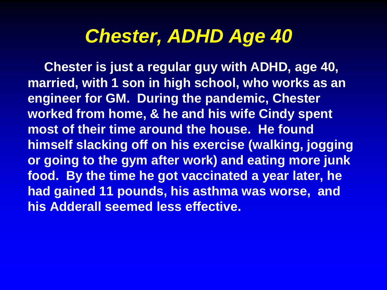#### *Chester, ADHD Age 40*

**Chester is just a regular guy with ADHD, age 40, married, with 1 son in high school, who works as an engineer for GM. During the pandemic, Chester worked from home, & he and his wife Cindy spent most of their time around the house. He found himself slacking off on his exercise (walking, jogging or going to the gym after work) and eating more junk food. By the time he got vaccinated a year later, he had gained 11 pounds, his asthma was worse, and his Adderall seemed less effective.**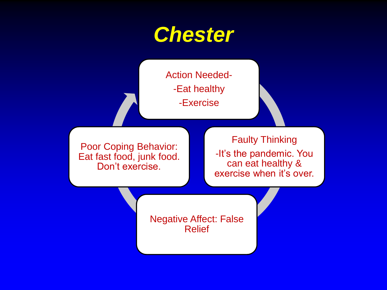

Action Needed- -Eat healthy -Exercise

Poor Coping Behavior: Eat fast food, junk food. Don't exercise.

Faulty Thinking -It's the pandemic. You can eat healthy & exercise when it's over.

Negative Affect: False Relief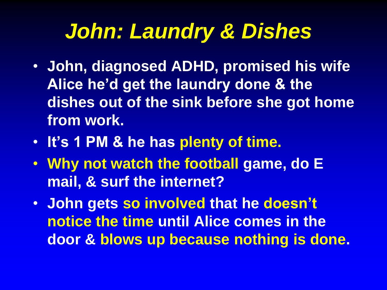### *John: Laundry & Dishes*

- **John, diagnosed ADHD, promised his wife Alice he'd get the laundry done & the dishes out of the sink before she got home from work.**
- **It's 1 PM & he has plenty of time.**
- **Why not watch the football game, do E mail, & surf the internet?**
- **John gets so involved that he doesn't notice the time until Alice comes in the door & blows up because nothing is done.**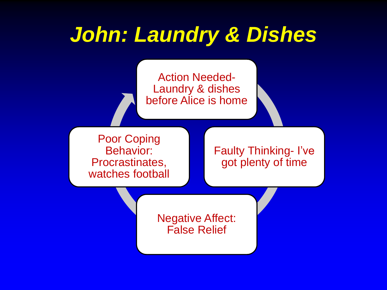### *John: Laundry & Dishes*



Poor Coping Behavior: Procrastinates, watches football

Faulty Thinking- I've got plenty of time

Negative Affect: False Relief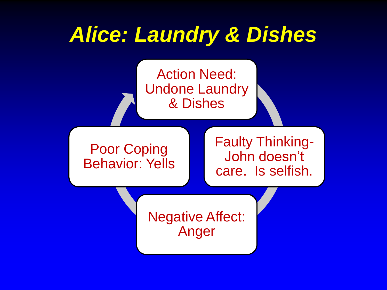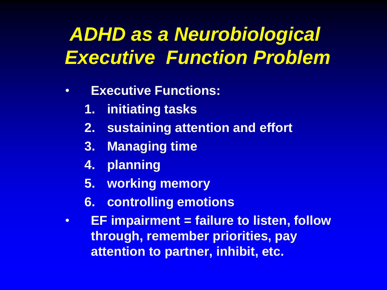#### *ADHD as a Neurobiological Executive Function Problem*

- **Executive Functions:** 
	- **1. initiating tasks**
	- **2. sustaining attention and effort**
	- **3. Managing time**
	- **4. planning**
	- **5. working memory**
	- **6. controlling emotions**
- **EF impairment = failure to listen, follow through, remember priorities, pay attention to partner, inhibit, etc.**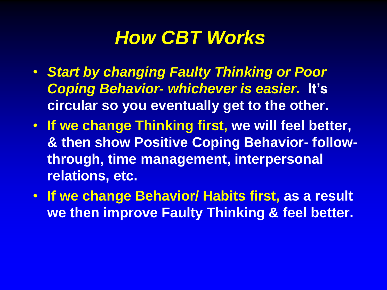#### *How CBT Works*

- *Start by changing Faulty Thinking or Poor Coping Behavior- whichever is easier.* **It's circular so you eventually get to the other.**
- **If we change Thinking first, we will feel better, & then show Positive Coping Behavior- followthrough, time management, interpersonal relations, etc.**
- **If we change Behavior/ Habits first, as a result we then improve Faulty Thinking & feel better.**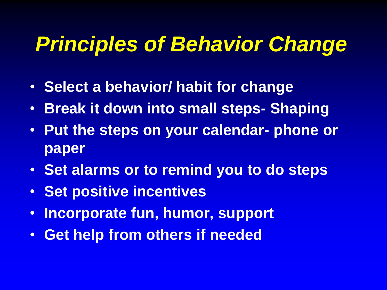### *Principles of Behavior Change*

- **Select a behavior/ habit for change**
- **Break it down into small steps- Shaping**
- **Put the steps on your calendar- phone or paper**
- **Set alarms or to remind you to do steps**
- **Set positive incentives**
- **Incorporate fun, humor, support**
- **Get help from others if needed**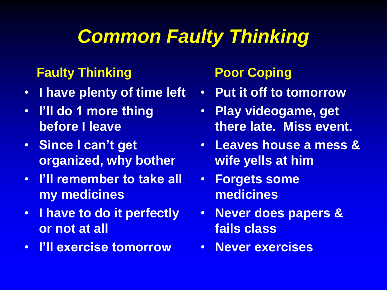#### *Common Faulty Thinking*

#### **Faulty Thinking**

- **I have plenty of time left**
- **I'll do 1 more thing before I leave**
- **Since I can't get organized, why bother**
- **I'll remember to take all my medicines**
- **I have to do it perfectly or not at all**
- **I'll exercise tomorrow**

#### **Poor Coping**

- **Put it off to tomorrow**
- **Play videogame, get there late. Miss event.**
- **Leaves house a mess & wife yells at him**
- **Forgets some medicines**
- **Never does papers & fails class**
- **Never exercises**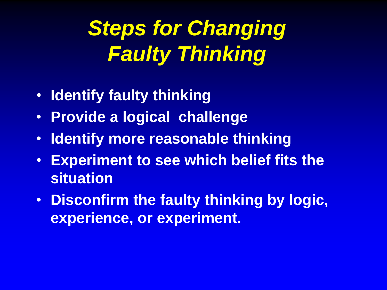# **Steps for Changing** *Faulty Thinking*

- **Identify faulty thinking**
- **Provide a logical challenge**
- **Identify more reasonable thinking**
- **Experiment to see which belief fits the situation**
- **Disconfirm the faulty thinking by logic, experience, or experiment.**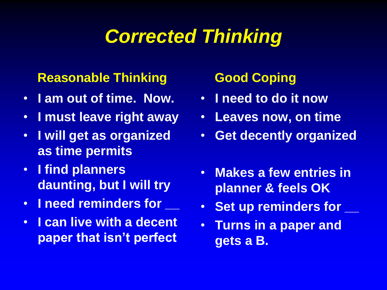#### *Corrected Thinking*

#### **Reasonable Thinking**

- **I am out of time. Now.**
- **I must leave right away**
- **I will get as organized as time permits**
- **I find planners daunting, but I will try**
- **I need reminders for \_\_**
- **I can live with a decent paper that isn't perfect**

#### **Good Coping**

- **I need to do it now**
- **Leaves now, on time**
- **Get decently organized**
- **Makes a few entries in planner & feels OK**
- **Set up reminders for \_\_**
- **Turns in a paper and gets a B.**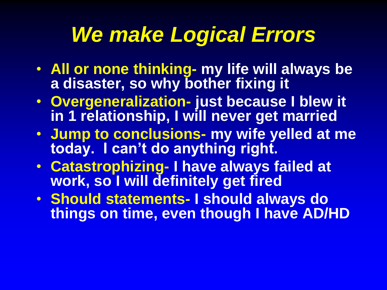### *We make Logical Errors*

- **All or none thinking- my life will always be a disaster, so why bother fixing it**
- **Overgeneralization- just because I blew it in 1 relationship, I will never get married**
- **Jump to conclusions- my wife yelled at me today. I can't do anything right.**
- **Catastrophizing- I have always failed at work, so I will definitely get fired**
- **Should statements- I should always do things on time, even though I have AD/HD**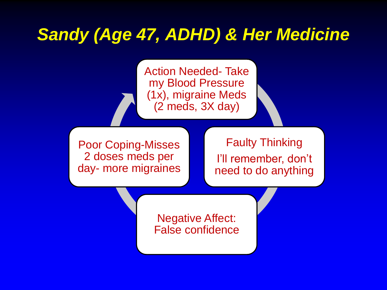#### *Sandy (Age 47, ADHD) & Her Medicine*

Action Needed- Take my Blood Pressure (1x), migraine Meds (2 meds, 3X day)

Poor Coping-Misses 2 doses meds per day- more migraines

#### Faulty Thinking

I'll remember, don't need to do anything

Negative Affect: False confidence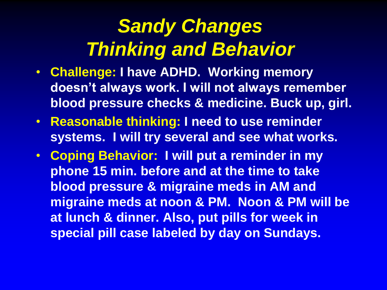#### *Sandy Changes Thinking and Behavior*

- **Challenge: I have ADHD. Working memory doesn't always work. I will not always remember blood pressure checks & medicine. Buck up, girl.**
- **Reasonable thinking: I need to use reminder systems. I will try several and see what works.**
- **Coping Behavior: I will put a reminder in my phone 15 min. before and at the time to take blood pressure & migraine meds in AM and migraine meds at noon & PM. Noon & PM will be at lunch & dinner. Also, put pills for week in special pill case labeled by day on Sundays.**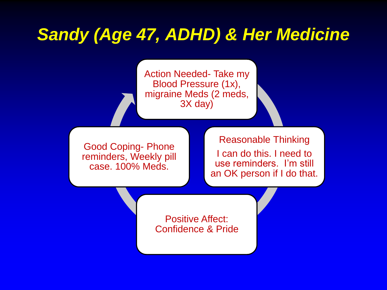#### *Sandy (Age 47, ADHD) & Her Medicine*

Action Needed- Take my Blood Pressure (1x), migraine Meds (2 meds, 3X day)

Good Coping- Phone reminders, Weekly pill case. 100% Meds.

Reasonable Thinking I can do this. I need to use reminders. I'm still an OK person if I do that.

Positive Affect: Confidence & Pride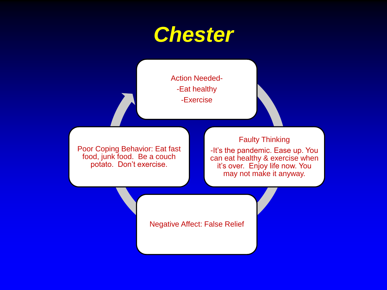#### *Chester*

Action Needed- -Eat healthy -Exercise

Poor Coping Behavior: Eat fast food, junk food. Be a couch potato. Don't exercise.

Faulty Thinking -It's the pandemic. Ease up. You can eat healthy & exercise when it's over. Enjoy life now. You

may not make it anyway.

Negative Affect: False Relief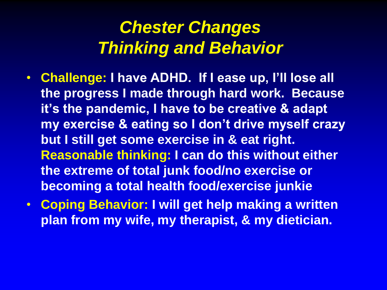#### *Chester Changes Thinking and Behavior*

- **Challenge: I have ADHD. If I ease up, I'll lose all the progress I made through hard work. Because it's the pandemic, I have to be creative & adapt my exercise & eating so I don't drive myself crazy but I still get some exercise in & eat right. Reasonable thinking: I can do this without either the extreme of total junk food/no exercise or becoming a total health food/exercise junkie**
- **Coping Behavior: I will get help making a written plan from my wife, my therapist, & my dietician.**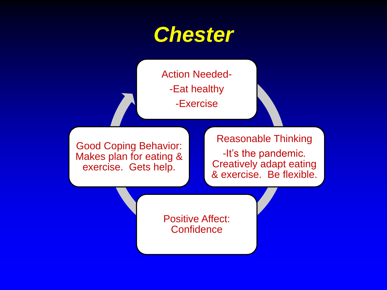#### *Chester*

Action Needed- -Eat healthy -Exercise

Good Coping Behavior: Makes plan for eating & exercise. Gets help.

#### Reasonable Thinking

-It's the pandemic. Creatively adapt eating & exercise. Be flexible.

Positive Affect: **Confidence**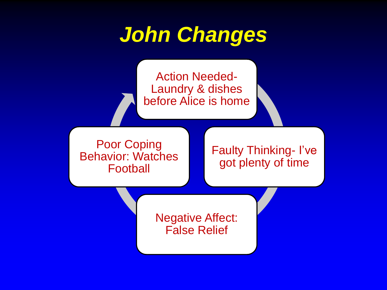### *John Changes*

Action Needed-Laundry & dishes before Alice is home

Poor Coping Behavior: Watches Football

Faulty Thinking- I've got plenty of time

Negative Affect: False Relief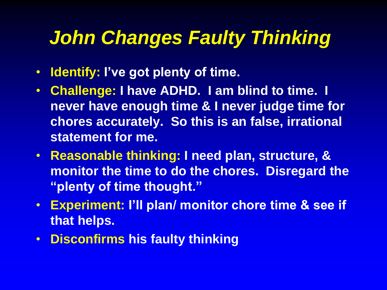#### *John Changes Faulty Thinking*

- **Identify: I've got plenty of time.**
- **Challenge: I have ADHD. I am blind to time. I never have enough time & I never judge time for chores accurately. So this is an false, irrational statement for me.**
- **Reasonable thinking: I need plan, structure, & monitor the time to do the chores. Disregard the "plenty of time thought."**
- **Experiment: I'll plan/ monitor chore time & see if that helps.**
- **Disconfirms his faulty thinking**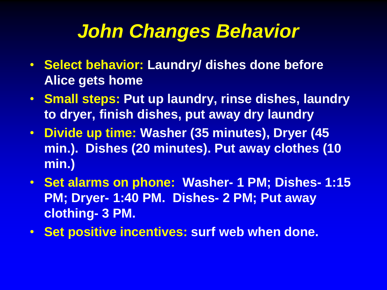#### *John Changes Behavior*

- **Select behavior: Laundry/ dishes done before Alice gets home**
- **Small steps: Put up laundry, rinse dishes, laundry to dryer, finish dishes, put away dry laundry**
- **Divide up time: Washer (35 minutes), Dryer (45 min.). Dishes (20 minutes). Put away clothes (10 min.)**
- **Set alarms on phone: Washer- 1 PM; Dishes- 1:15 PM; Dryer- 1:40 PM. Dishes- 2 PM; Put away clothing- 3 PM.**
- **Set positive incentives: surf web when done.**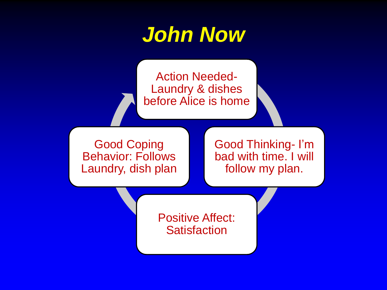

Action Needed-Laundry & dishes before Alice is home

Good Coping Behavior: Follows Laundry, dish plan Good Thinking- I'm bad with time. I will follow my plan.

Positive Affect: **Satisfaction**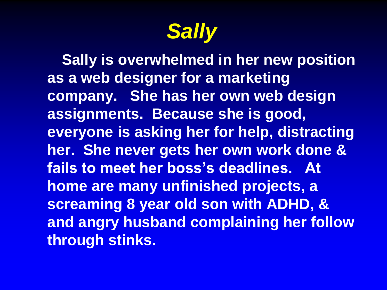

**Sally is overwhelmed in her new position as a web designer for a marketing company. She has her own web design assignments. Because she is good, everyone is asking her for help, distracting her. She never gets her own work done & fails to meet her boss's deadlines. At home are many unfinished projects, a screaming 8 year old son with ADHD, & and angry husband complaining her follow through stinks.**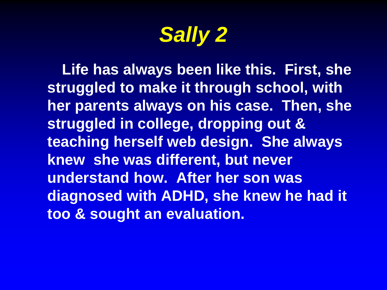*Sally 2*

**Life has always been like this. First, she struggled to make it through school, with her parents always on his case. Then, she struggled in college, dropping out & teaching herself web design. She always knew she was different, but never understand how. After her son was diagnosed with ADHD, she knew he had it too & sought an evaluation.**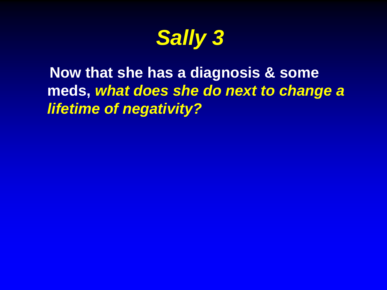*Sally 3*

**Now that she has a diagnosis & some meds,** *what does she do next to change a lifetime of negativity?*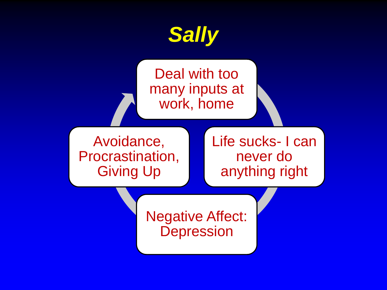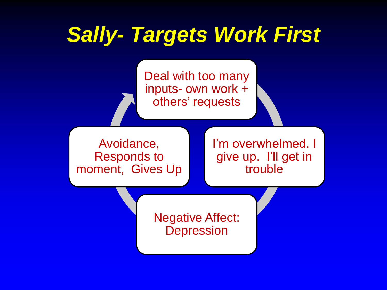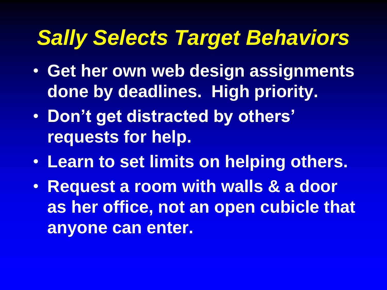### *Sally Selects Target Behaviors*

- **Get her own web design assignments done by deadlines. High priority.**
- **Don't get distracted by others' requests for help.**
- **Learn to set limits on helping others.**
- **Request a room with walls & a door as her office, not an open cubicle that anyone can enter.**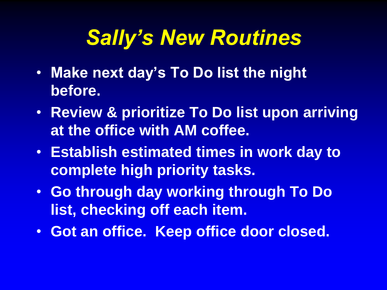### *Sally's New Routines*

- **Make next day's To Do list the night before.**
- **Review & prioritize To Do list upon arriving at the office with AM coffee.**
- **Establish estimated times in work day to complete high priority tasks.**
- **Go through day working through To Do list, checking off each item.**
- **Got an office. Keep office door closed.**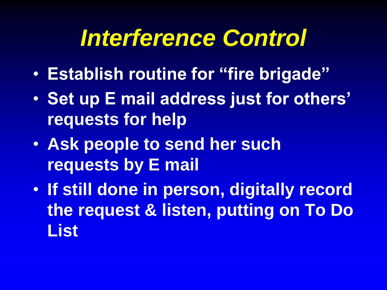# *Interference Control*

- **Establish routine for "fire brigade"**
- **Set up E mail address just for others' requests for help**
- **Ask people to send her such requests by E mail**
- **If still done in person, digitally record the request & listen, putting on To Do List**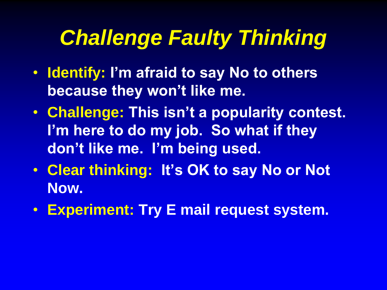# *Challenge Faulty Thinking*

- **Identify: I'm afraid to say No to others because they won't like me.**
- **Challenge: This isn't a popularity contest. I'm here to do my job. So what if they don't like me. I'm being used.**
- **Clear thinking: It's OK to say No or Not Now.**
- **Experiment: Try E mail request system.**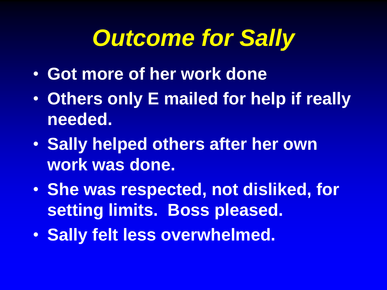# *Outcome for Sally*

- **Got more of her work done**
- **Others only E mailed for help if really needed.**
- **Sally helped others after her own work was done.**
- **She was respected, not disliked, for setting limits. Boss pleased.**
- **Sally felt less overwhelmed.**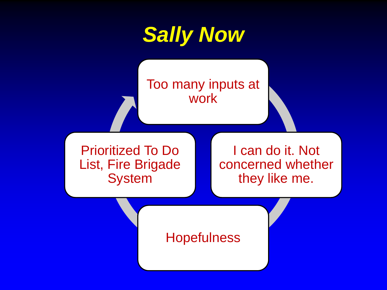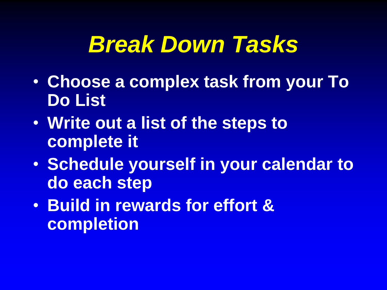# *Break Down Tasks*

- **Choose a complex task from your To Do List**
- **Write out a list of the steps to complete it**
- **Schedule yourself in your calendar to do each step**
- **Build in rewards for effort & completion**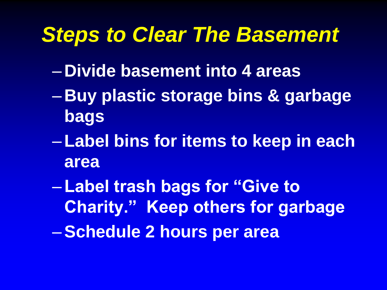### *Steps to Clear The Basement*

- **Divide basement into 4 areas**
- **Buy plastic storage bins & garbage bags**
- –**Label bins for items to keep in each area**
- –**Label trash bags for "Give to Charity." Keep others for garbage** –**Schedule 2 hours per area**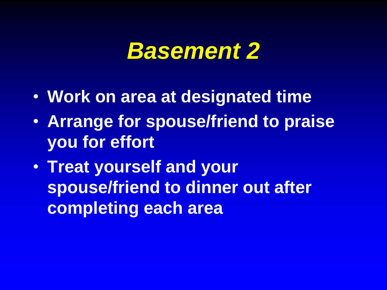### *Basement 2*

- **Work on area at designated time**
- **Arrange for spouse/friend to praise you for effort**
- **Treat yourself and your spouse/friend to dinner out after completing each area**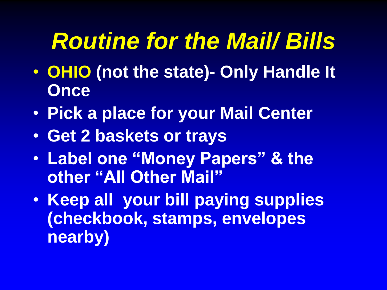# *Routine for the Mail/ Bills*

- **OHIO (not the state)- Only Handle It Once**
- **Pick a place for your Mail Center**
- **Get 2 baskets or trays**
- **Label one "Money Papers" & the other "All Other Mail"**
- **Keep all your bill paying supplies (checkbook, stamps, envelopes nearby)**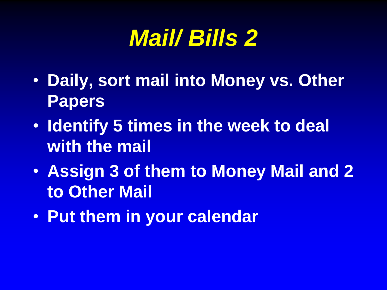# *Mail/ Bills 2*

- **Daily, sort mail into Money vs. Other Papers**
- **Identify 5 times in the week to deal with the mail**
- **Assign 3 of them to Money Mail and 2 to Other Mail**
- **Put them in your calendar**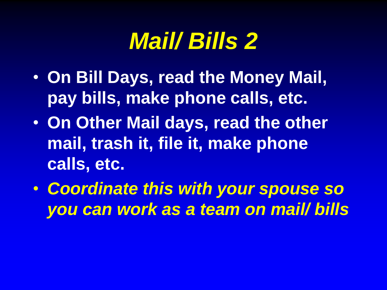# *Mail/ Bills 2*

- **On Bill Days, read the Money Mail, pay bills, make phone calls, etc.**
- **On Other Mail days, read the other mail, trash it, file it, make phone calls, etc.**
- *Coordinate this with your spouse so you can work as a team on mail/ bills*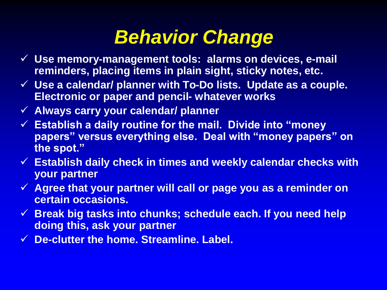#### *Behavior Change*

- ✓ **Use memory-management tools: alarms on devices, e-mail reminders, placing items in plain sight, sticky notes, etc.**
- ✓ **Use a calendar/ planner with To-Do lists. Update as a couple. Electronic or paper and pencil- whatever works**
- ✓ **Always carry your calendar/ planner**
- ✓ **Establish a daily routine for the mail. Divide into "money papers" versus everything else. Deal with "money papers" on the spot."**
- ✓ **Establish daily check in times and weekly calendar checks with your partner**
- ✓ **Agree that your partner will call or page you as a reminder on certain occasions.**
- ✓ **Break big tasks into chunks; schedule each. If you need help doing this, ask your partner**
- ✓ **De-clutter the home. Streamline. Label.**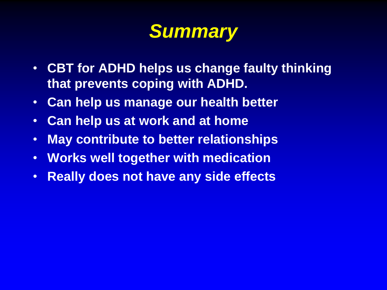#### *Summary*

- **CBT for ADHD helps us change faulty thinking that prevents coping with ADHD.**
- **Can help us manage our health better**
- **Can help us at work and at home**
- **May contribute to better relationships**
- **Works well together with medication**
- **Really does not have any side effects**